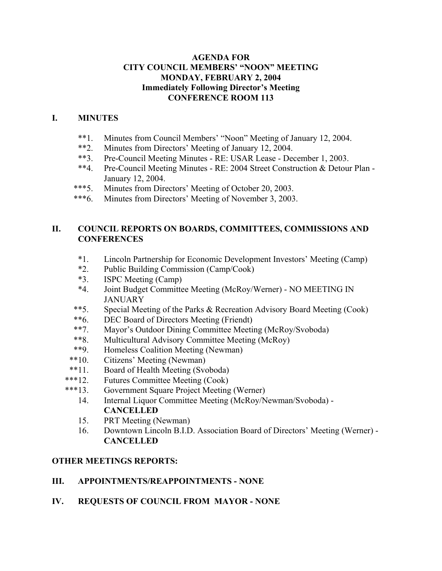### **AGENDA FOR CITY COUNCIL MEMBERS' "NOON" MEETING MONDAY, FEBRUARY 2, 2004 Immediately Following Director's Meeting CONFERENCE ROOM 113**

### **I. MINUTES**

- \*\*1. Minutes from Council Members' "Noon" Meeting of January 12, 2004.
- \*\*2. Minutes from Directors' Meeting of January 12, 2004.<br>\*\*3 Pre-Council Meeting Minutes RE: USAR Lease Dee
- Pre-Council Meeting Minutes RE: USAR Lease December 1, 2003.
- \*\*4. Pre-Council Meeting Minutes RE: 2004 Street Construction & Detour Plan January 12, 2004.
- \*\*\*5. Minutes from Directors' Meeting of October 20, 2003.
- \*\*\*6. Minutes from Directors' Meeting of November 3, 2003.

### **II. COUNCIL REPORTS ON BOARDS, COMMITTEES, COMMISSIONS AND CONFERENCES**

- \*1. Lincoln Partnership for Economic Development Investors' Meeting (Camp)
- \*2. Public Building Commission (Camp/Cook)
- \*3. ISPC Meeting (Camp)
- \*4. Joint Budget Committee Meeting (McRoy/Werner) NO MEETING IN **JANUARY**
- \*\*5. Special Meeting of the Parks & Recreation Advisory Board Meeting (Cook)
- \*\*6. DEC Board of Directors Meeting (Friendt)
- \*\*7. Mayor's Outdoor Dining Committee Meeting (McRoy/Svoboda)
- \*\*8. Multicultural Advisory Committee Meeting (McRoy)
- \*\*9. Homeless Coalition Meeting (Newman)
- \*\*10. Citizens' Meeting (Newman)
- \*\*11. Board of Health Meeting (Svoboda)
- \*\*\*12. Futures Committee Meeting (Cook)
- \*\*\*13. Government Square Project Meeting (Werner)
	- 14. Internal Liquor Committee Meeting (McRoy/Newman/Svoboda) **CANCELLED**
	- 15. PRT Meeting (Newman)
	- 16. Downtown Lincoln B.I.D. Association Board of Directors' Meeting (Werner) **CANCELLED**

### **OTHER MEETINGS REPORTS:**

#### **III. APPOINTMENTS/REAPPOINTMENTS - NONE**

**IV. REQUESTS OF COUNCIL FROM MAYOR - NONE**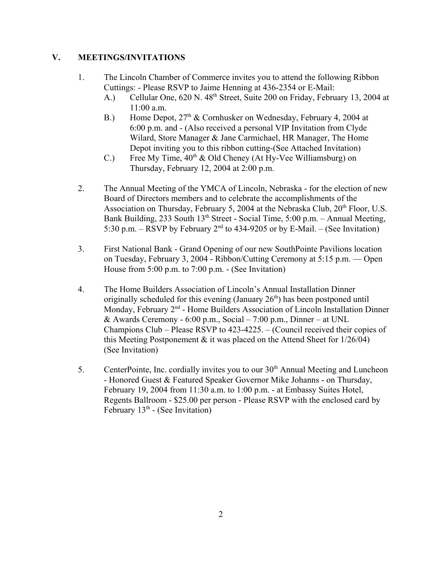### **V. MEETINGS/INVITATIONS**

- 1. The Lincoln Chamber of Commerce invites you to attend the following Ribbon Cuttings: - Please RSVP to Jaime Henning at 436-2354 or E-Mail:
	- A.) Cellular One, 620 N. 48<sup>th</sup> Street, Suite 200 on Friday, February 13, 2004 at 11:00 a.m.
	- B.) Home Depot,  $27<sup>th</sup>$  & Cornhusker on Wednesday, February 4, 2004 at 6:00 p.m. and - (Also received a personal VIP Invitation from Clyde Wilard, Store Manager & Jane Carmichael, HR Manager, The Home Depot inviting you to this ribbon cutting-(See Attached Invitation)
	- C.) Free My Time,  $40<sup>th</sup>$  & Old Cheney (At Hy-Vee Williamsburg) on Thursday, February 12, 2004 at 2:00 p.m.
- 2. The Annual Meeting of the YMCA of Lincoln, Nebraska for the election of new Board of Directors members and to celebrate the accomplishments of the Association on Thursday, February 5, 2004 at the Nebraska Club,  $20<sup>th</sup>$  Floor, U.S. Bank Building, 233 South  $13<sup>th</sup>$  Street - Social Time, 5:00 p.m. – Annual Meeting, 5:30 p.m. – RSVP by February  $2<sup>nd</sup>$  to 434-9205 or by E-Mail. – (See Invitation)
- 3. First National Bank Grand Opening of our new SouthPointe Pavilions location on Tuesday, February 3, 2004 - Ribbon/Cutting Ceremony at 5:15 p.m. — Open House from 5:00 p.m. to 7:00 p.m. - (See Invitation)
- 4. The Home Builders Association of Lincoln's Annual Installation Dinner originally scheduled for this evening (January  $26<sup>th</sup>$ ) has been postponed until Monday, February  $2<sup>nd</sup>$  - Home Builders Association of Lincoln Installation Dinner & Awards Ceremony - 6:00 p.m., Social – 7:00 p.m., Dinner – at UNL Champions Club – Please RSVP to 423-4225. – (Council received their copies of this Meeting Postponement & it was placed on the Attend Sheet for 1/26/04) (See Invitation)
- 5. CenterPointe, Inc. cordially invites you to our 30<sup>th</sup> Annual Meeting and Luncheon - Honored Guest & Featured Speaker Governor Mike Johanns - on Thursday, February 19, 2004 from 11:30 a.m. to 1:00 p.m. - at Embassy Suites Hotel, Regents Ballroom - \$25.00 per person - Please RSVP with the enclosed card by February  $13<sup>th</sup>$  - (See Invitation)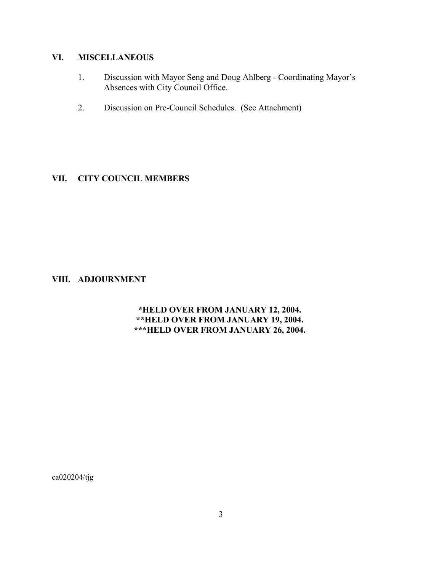# **VI. MISCELLANEOUS**

- 1. Discussion with Mayor Seng and Doug Ahlberg Coordinating Mayor's Absences with City Council Office.
- 2. Discussion on Pre-Council Schedules. (See Attachment)

### **VII. CITY COUNCIL MEMBERS**

### **VIII. ADJOURNMENT**

### **\*HELD OVER FROM JANUARY 12, 2004. \*\*HELD OVER FROM JANUARY 19, 2004. \*\*\*HELD OVER FROM JANUARY 26, 2004.**

ca020204/tjg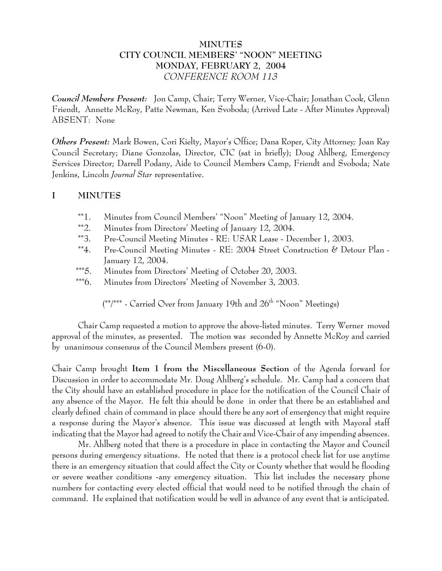## **MINUTES CITY COUNCIL MEMBERS' "NOON" MEETING MONDAY, FEBRUARY 2, 2004** *CONFERENCE ROOM 113*

*Council Members Present:* Jon Camp, Chair; Terry Werner, Vice-Chair; Jonathan Cook, Glenn Friendt, Annette McRoy, Patte Newman, Ken Svoboda; (Arrived Late - After Minutes Approval) ABSENT: None

*Others Present:* Mark Bowen, Cori Kielty, Mayor's Office; Dana Roper, City Attorney*;* Joan Ray Council Secretary; Diane Gonzolas, Director, CIC (sat in briefly); Doug Ahlberg, Emergency Services Director; Darrell Podany, Aide to Council Members Camp, Friendt and Svoboda; Nate Jenkins, Lincoln *Journal Star* representative.

### **I MINUTES**

- \*\*1. Minutes from Council Members' "Noon" Meeting of January 12, 2004.
- \*\*2. Minutes from Directors' Meeting of January 12, 2004.
- \*\*3. Pre-Council Meeting Minutes RE: USAR Lease December 1, 2003.
- \*\*4. Pre-Council Meeting Minutes RE: 2004 Street Construction & Detour Plan January 12, 2004.
- \*\*\*5. Minutes from Directors' Meeting of October 20, 2003.
- \*\*\*6. Minutes from Directors' Meeting of November 3, 2003.

 $(*$ <sup>\*</sup>/\*\*\* - Carried Over from January 19th and  $26<sup>th</sup>$  "Noon" Meetings)

Chair Camp requested a motion to approve the above-listed minutes. Terry Werner moved approval of the minutes, as presented. The motion was seconded by Annette McRoy and carried by unanimous consensus of the Council Members present (6-0).

Chair Camp brought **Item 1 from the Miscellaneous Section** of the Agenda forward for Discussion in order to accommodate Mr. Doug Ahlberg's schedule. Mr. Camp had a concern that the City should have an established procedure in place for the notification of the Council Chair of any absence of the Mayor. He felt this should be done in order that there be an established and clearly defined chain of command in place should there be any sort of emergency that might require a response during the Mayor's absence. This issue was discussed at length with Mayoral staff indicating that the Mayor had agreed to notify the Chair and Vice-Chair of any impending absences.

Mr. Ahlberg noted that there is a procedure in place in contacting the Mayor and Council persons during emergency situations. He noted that there is a protocol check list for use anytime there is an emergency situation that could affect the City or County whether that would be flooding or severe weather conditions -any emergency situation. This list includes the necessary phone numbers for contacting every elected official that would need to be notified through the chain of command. He explained that notification would be well in advance of any event that is anticipated.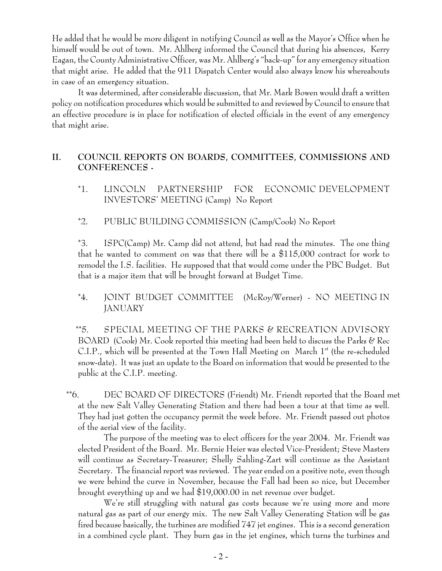He added that he would be more diligent in notifying Council as well as the Mayor's Office when he himself would be out of town. Mr. Ahlberg informed the Council that during his absences, Kerry Eagan, the County Administrative Officer, was Mr. Ahlberg's "back-up" for any emergency situation that might arise. He added that the 911 Dispatch Center would also always know his whereabouts in case of an emergency situation.

It was determined, after considerable discussion, that Mr. Mark Bowen would draft a written policy on notification procedures which would be submitted to and reviewed by Council to ensure that an effective procedure is in place for notification of elected officials in the event of any emergency that might arise.

# **II. COUNCIL REPORTS ON BOARDS, COMMITTEES, COMMISSIONS AND CONFERENCES -**

- \*1. LINCOLN PARTNERSHIP FOR ECONOMIC DEVELOPMENT INVESTORS' MEETING (Camp) No Report
- \*2. PUBLIC BUILDING COMMISSION (Camp/Cook) No Report

\*3. ISPC(Camp) Mr. Camp did not attend, but had read the minutes. The one thing that he wanted to comment on was that there will be a \$115,000 contract for work to remodel the I.S. facilities. He supposed that that would come under the PBC Budget. But that is a major item that will be brought forward at Budget Time.

## \*4. JOINT BUDGET COMMITTEE (McRoy/Werner) - NO MEETING IN JANUARY

 \*\*5. SPECIAL MEETING OF THE PARKS & RECREATION ADVISORY BOARD (Cook) Mr. Cook reported this meeting had been held to discuss the Parks & Rec C.I.P., which will be presented at the Town Hall Meeting on March  $1<sup>st</sup>$  (the re-scheduled snow-date). It was just an update to the Board on information that would be presented to the public at the C.I.P. meeting.

 \*\*6. DEC BOARD OF DIRECTORS (Friendt) Mr. Friendt reported that the Board met at the new Salt Valley Generating Station and there had been a tour at that time as well. They had just gotten the occupancy permit the week before. Mr. Friendt passed out photos of the aerial view of the facility.

The purpose of the meeting was to elect officers for the year 2004. Mr. Friendt was elected President of the Board. Mr. Bernie Heier was elected Vice-President; Steve Masters will continue as Secretary-Treasurer; Shelly Sahling-Zart will continue as the Assistant Secretary. The financial report was reviewed. The year ended on a positive note, even though we were behind the curve in November, because the Fall had been so nice, but December brought everything up and we had \$19,000.00 in net revenue over budget.

We're still struggling with natural gas costs because we're using more and more natural gas as part of our energy mix. The new Salt Valley Generating Station will be gas fired because basically, the turbines are modified 747 jet engines. This is a second generation in a combined cycle plant. They burn gas in the jet engines, which turns the turbines and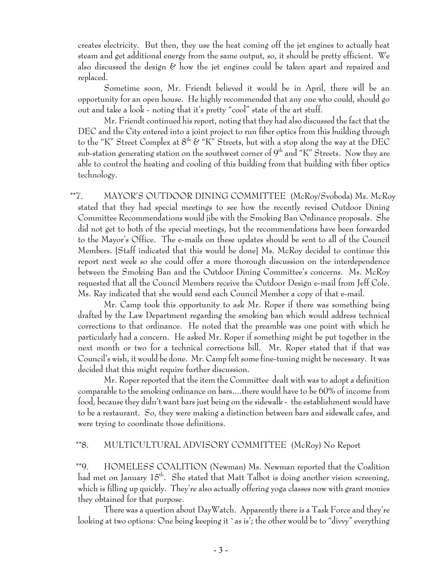creates electricity. But then, they use the heat coming off the jet engines to actually heat steam and get additional energy from the same output, so, it should be pretty efficient. We also discussed the design  $\mathscr E$  how the jet engines could be taken apart and repaired and replaced.

Sometime soon, Mr. Friendt believed it would be in April, there will be an opportunity for an open house. He highly recommended that any one who could, should go out and take a look - noting that it's pretty "cool" state of the art stuff.

Mr. Friendt continued his report, noting that they had also discussed the fact that the DEC and the City entered into a joint project to run fiber optics from this building through to the "K" Street Complex at  $8^{\text{th}}$  & "K" Streets, but with a stop along the way at the DEC sub-station generating station on the southwest corner of  $9<sup>th</sup>$  and "K" Streets. Now they are able to control the heating and cooling of this building from that building with fiber optics technology.

 \*\*7. MAYOR'S OUTDOOR DINING COMMITTEE (McRoy/Svoboda) Ms. McRoy stated that they had special meetings to see how the recently revised Outdoor Dining Committee Recommendations would jibe with the Smoking Ban Ordinance proposals. She did not get to both of the special meetings, but the recommendations have been forwarded to the Mayor's Office. The e-mails on these updates should be sent to all of the Council Members. [Staff indicated that this would be done] Ms. McRoy decided to continue this report next week so she could offer a more thorough discussion on the interdependence between the Smoking Ban and the Outdoor Dining Committee's concerns. Ms. McRoy requested that all the Council Members receive the Outdoor Design e-mail from Jeff Cole. Ms. Ray indicated that she would send each Council Member a copy of that e-mail.

Mr. Camp took this opportunity to ask Mr. Roper if there was something being drafted by the Law Department regarding the smoking ban which would address technical corrections to that ordinance. He noted that the preamble was one point with which he particularly had a concern. He asked Mr. Roper if something might be put together in the next month or two for a technical corrections bill. Mr. Roper stated that if that was Council's wish, it would be done. Mr. Camp felt some fine-tuning might be necessary. It was decided that this might require further discussion.

Mr. Roper reported that the item the Committee dealt with was to adopt a definition comparable to the smoking ordinance on bars....there would have to be 60% of income from food, because they didn't want bars just being on the sidewalk - the establishment would have to be a restaurant. So, they were making a distinction between bars and sidewalk cafes, and were trying to coordinate those definitions.

#### \*\*8. MULTICULTURAL ADVISORY COMMITTEE (McRoy) No Report

 \*\*9. HOMELESS COALITION (Newman) Ms. Newman reported that the Coalition had met on January  $15^{th}$ . She stated that Matt Talbot is doing another vision screening, which is filling up quickly. They're also actually offering yoga classes now with grant monies they obtained for that purpose.

There was a question about DayWatch. Apparently there is a Task Force and they're looking at two options: One being keeping it `as is'; the other would be to "divvy" everything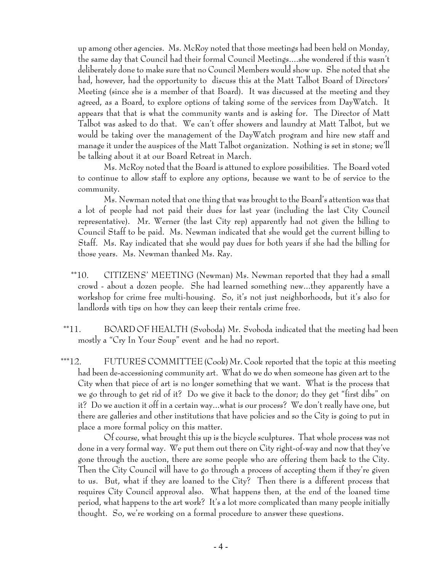up among other agencies. Ms. McRoy noted that those meetings had been held on Monday, the same day that Council had their formal Council Meetings....she wondered if this wasn't deliberately done to make sure that no Council Members would show up. She noted that she had, however, had the opportunity to discuss this at the Matt Talbot Board of Directors' Meeting (since she is a member of that Board). It was discussed at the meeting and they agreed, as a Board, to explore options of taking some of the services from DayWatch. It appears that that is what the community wants and is asking for. The Director of Matt Talbot was asked to do that. We can't offer showers and laundry at Matt Talbot, but we would be taking over the management of the DayWatch program and hire new staff and manage it under the auspices of the Matt Talbot organization. Nothing is set in stone; we'll be talking about it at our Board Retreat in March.

Ms. McRoy noted that the Board is attuned to explore possibilities. The Board voted to continue to allow staff to explore any options, because we want to be of service to the community.

Ms. Newman noted that one thing that was brought to the Board's attention was that a lot of people had not paid their dues for last year (including the last City Council representative). Mr. Werner (the last City rep) apparently had not given the billing to Council Staff to be paid. Ms. Newman indicated that she would get the current billing to Staff. Ms. Ray indicated that she would pay dues for both years if she had the billing for those years. Ms. Newman thanked Ms. Ray.

- \*\*10. CITIZENS' MEETING (Newman) Ms. Newman reported that they had a small crowd - about a dozen people. She had learned something new...they apparently have a workshop for crime free multi-housing. So, it's not just neighborhoods, but it's also for landlords with tips on how they can keep their rentals crime free.
- \*\*11. BOARD OF HEALTH (Svoboda) Mr. Svoboda indicated that the meeting had been mostly a "Cry In Your Soup" event and he had no report.
- \*\*\*12. FUTURES COMMITTEE (Cook) Mr. Cook reported that the topic at this meeting had been de-accessioning community art. What do we do when someone has given art to the City when that piece of art is no longer something that we want. What is the process that we go through to get rid of it? Do we give it back to the donor; do they get "first dibs" on it? Do we auction it off in a certain way...what is our process? We don't really have one, but there are galleries and other institutions that have policies and so the City is going to put in place a more formal policy on this matter.

Of course, what brought this up is the bicycle sculptures. That whole process was not done in a very formal way. We put them out there on City right-of-way and now that they've gone through the auction, there are some people who are offering them back to the City. Then the City Council will have to go through a process of accepting them if they're given to us. But, what if they are loaned to the City? Then there is a different process that requires City Council approval also. What happens then, at the end of the loaned time period, what happens to the art work? It's a lot more complicated than many people initially thought. So, we're working on a formal procedure to answer these questions.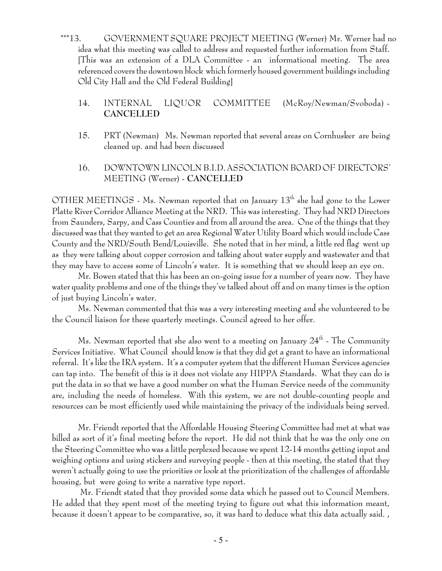\*\*\*13. GOVERNMENT SQUARE PROJECT MEETING (Werner) Mr. Werner had no idea what this meeting was called to address and requested further information from Staff. [This was an extension of a DLA Committee - an informational meeting. The area referenced covers the downtown block which formerly housed government buildings including Old City Hall and the Old Federal Building]

# 14. INTERNAL LIQUOR COMMITTEE (McRoy/Newman/Svoboda) - **CANCELLED**

- 15. PRT (Newman) Ms. Newman reported that several areas on Cornhusker are being cleaned up. and had been discussed
- 16. DOWNTOWN LINCOLN B.I.D. ASSOCIATION BOARD OF DIRECTORS' MEETING (Werner) - **CANCELLED**

OTHER MEETINGS - Ms. Newman reported that on January  $13<sup>th</sup>$  she had gone to the Lower Platte River Corridor Alliance Meeting at the NRD. This was interesting. They had NRD Directors from Saunders, Sarpy, and Cass Counties and from all around the area. One of the things that they discussed was that they wanted to get an area Regional Water Utility Board which would include Cass County and the NRD/South Bend/Louisville. She noted that in her mind, a little red flag went up as they were talking about copper corrosion and talking about water supply and wastewater and that they may have to access some of Lincoln's water. It is something that we should keep an eye on.

Mr. Bowen stated that this has been an on-going issue for a number of years now. They have water quality problems and one of the things they've talked about off and on many times is the option of just buying Lincoln's water.

Ms. Newman commented that this was a very interesting meeting and she volunteered to be the Council liaison for these quarterly meetings. Council agreed to her offer.

Ms. Newman reported that she also went to a meeting on January 24<sup>th</sup> - The Community Services Initiative. What Council should know is that they did get a grant to have an informational referral. It's like the IRA system. It's a computer system that the different Human Services agencies can tap into. The benefit of this is it does not violate any HIPPA Standards. What they can do is put the data in so that we have a good number on what the Human Service needs of the community are, including the needs of homeless. With this system, we are not double-counting people and resources can be most efficiently used while maintaining the privacy of the individuals being served.

Mr. Friendt reported that the Affordable Housing Steering Committee had met at what was billed as sort of it's final meeting before the report. He did not think that he was the only one on the Steering Committee who was a little perplexed because we spent 12-14 months getting input and weighing options and using stickers and surveying people - then at this meeting, the stated that they weren't actually going to use the priorities or look at the prioritization of the challenges of affordable housing, but were going to write a narrative type report.

 Mr. Friendt stated that they provided some data which he passed out to Council Members. He added that they spent most of the meeting trying to figure out what this information meant, because it doesn't appear to be comparative, so, it was hard to deduce what this data actually said. ,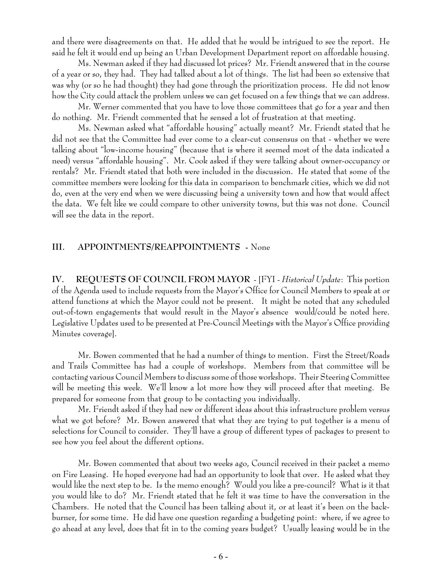and there were disagreements on that. He added that he would be intrigued to see the report. He said he felt it would end up being an Urban Development Department report on affordable housing.

Ms. Newman asked if they had discussed lot prices? Mr. Friendt answered that in the course of a year or so, they had. They had talked about a lot of things. The list had been so extensive that was why (or so he had thought) they had gone through the prioritization process. He did not know how the City could attack the problem unless we can get focused on a few things that we can address.

Mr. Werner commented that you have to love those committees that go for a year and then do nothing. Mr. Friendt commented that he sensed a lot of frustration at that meeting.

Ms. Newman asked what "affordable housing" actually meant? Mr. Friendt stated that he did not see that the Committee had ever come to a clear-cut consensus on that - whether we were talking about "low-income housing" (because that is where it seemed most of the data indicated a need) versus "affordable housing". Mr. Cook asked if they were talking about owner-occupancy or rentals? Mr. Friendt stated that both were included in the discussion. He stated that some of the committee members were looking for this data in comparison to benchmark cities, which we did not do, even at the very end when we were discussing being a university town and how that would affect the data. We felt like we could compare to other university towns, but this was not done. Council will see the data in the report.

### **III. APPOINTMENTS/REAPPOINTMENTS -** None

**IV. REQUESTS OF COUNCIL FROM MAYOR** - [FYI - *Historical Update*: This portion of the Agenda used to include requests from the Mayor's Office for Council Members to speak at or attend functions at which the Mayor could not be present. It might be noted that any scheduled out-of-town engagements that would result in the Mayor's absence would/could be noted here. Legislative Updates used to be presented at Pre-Council Meetings with the Mayor's Office providing Minutes coverage].

Mr. Bowen commented that he had a number of things to mention. First the Street/Roads and Trails Committee has had a couple of workshops. Members from that committee will be contacting various Council Members to discuss some of those workshops. Their Steering Committee will be meeting this week. We'll know a lot more how they will proceed after that meeting. Be prepared for someone from that group to be contacting you individually.

Mr. Friendt asked if they had new or different ideas about this infrastructure problem versus what we got before? Mr. Bowen answered that what they are trying to put together is a menu of selections for Council to consider. They'll have a group of different types of packages to present to see how you feel about the different options.

Mr. Bowen commented that about two weeks ago, Council received in their packet a memo on Fire Leasing. He hoped everyone had had an opportunity to look that over. He asked what they would like the next step to be. Is the memo enough? Would you like a pre-council? What is it that you would like to do? Mr. Friendt stated that he felt it was time to have the conversation in the Chambers. He noted that the Council has been talking about it, or at least it's been on the backburner, for some time. He did have one question regarding a budgeting point: where, if we agree to go ahead at any level, does that fit in to the coming years budget? Usually leasing would be in the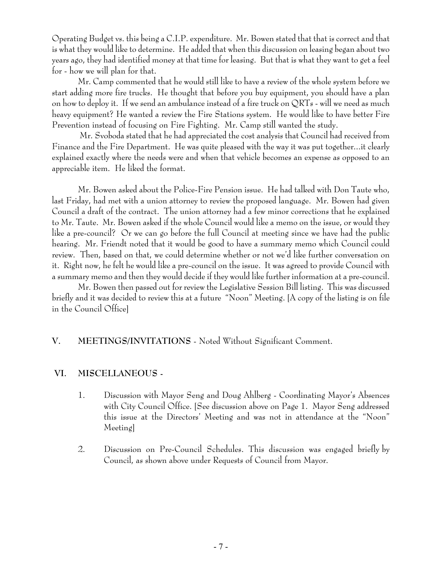Operating Budget vs. this being a C.I.P. expenditure. Mr. Bowen stated that that is correct and that is what they would like to determine. He added that when this discussion on leasing began about two years ago, they had identified money at that time for leasing. But that is what they want to get a feel for - how we will plan for that.

Mr. Camp commented that he would still like to have a review of the whole system before we start adding more fire trucks. He thought that before you buy equipment, you should have a plan on how to deploy it. If we send an ambulance instead of a fire truck on QRTs - will we need as much heavy equipment? He wanted a review the Fire Stations system. He would like to have better Fire Prevention instead of focusing on Fire Fighting. Mr. Camp still wanted the study.

 Mr. Svoboda stated that he had appreciated the cost analysis that Council had received from Finance and the Fire Department. He was quite pleased with the way it was put together...it clearly explained exactly where the needs were and when that vehicle becomes an expense as opposed to an appreciable item. He liked the format.

Mr. Bowen asked about the Police-Fire Pension issue. He had talked with Don Taute who, last Friday, had met with a union attorney to review the proposed language. Mr. Bowen had given Council a draft of the contract. The union attorney had a few minor corrections that he explained to Mr. Taute. Mr. Bowen asked if the whole Council would like a memo on the issue, or would they like a pre-council? Or we can go before the full Council at meeting since we have had the public hearing. Mr. Friendt noted that it would be good to have a summary memo which Council could review. Then, based on that, we could determine whether or not we'd like further conversation on it. Right now, he felt he would like a pre-council on the issue. It was agreed to provide Council with a summary memo and then they would decide if they would like further information at a pre-council.

Mr. Bowen then passed out for review the Legislative Session Bill listing. This was discussed briefly and it was decided to review this at a future "Noon" Meeting. [A copy of the listing is on file in the Council Office]

# **V. MEETINGS/INVITATIONS** - Noted Without Significant Comment.

# **VI. MISCELLANEOUS -**

- 1. Discussion with Mayor Seng and Doug Ahlberg Coordinating Mayor's Absences with City Council Office. [See discussion above on Page 1. Mayor Seng addressed this issue at the Directors' Meeting and was not in attendance at the "Noon" Meeting]
- 2. Discussion on Pre-Council Schedules. This discussion was engaged briefly by Council, as shown above under Requests of Council from Mayor.